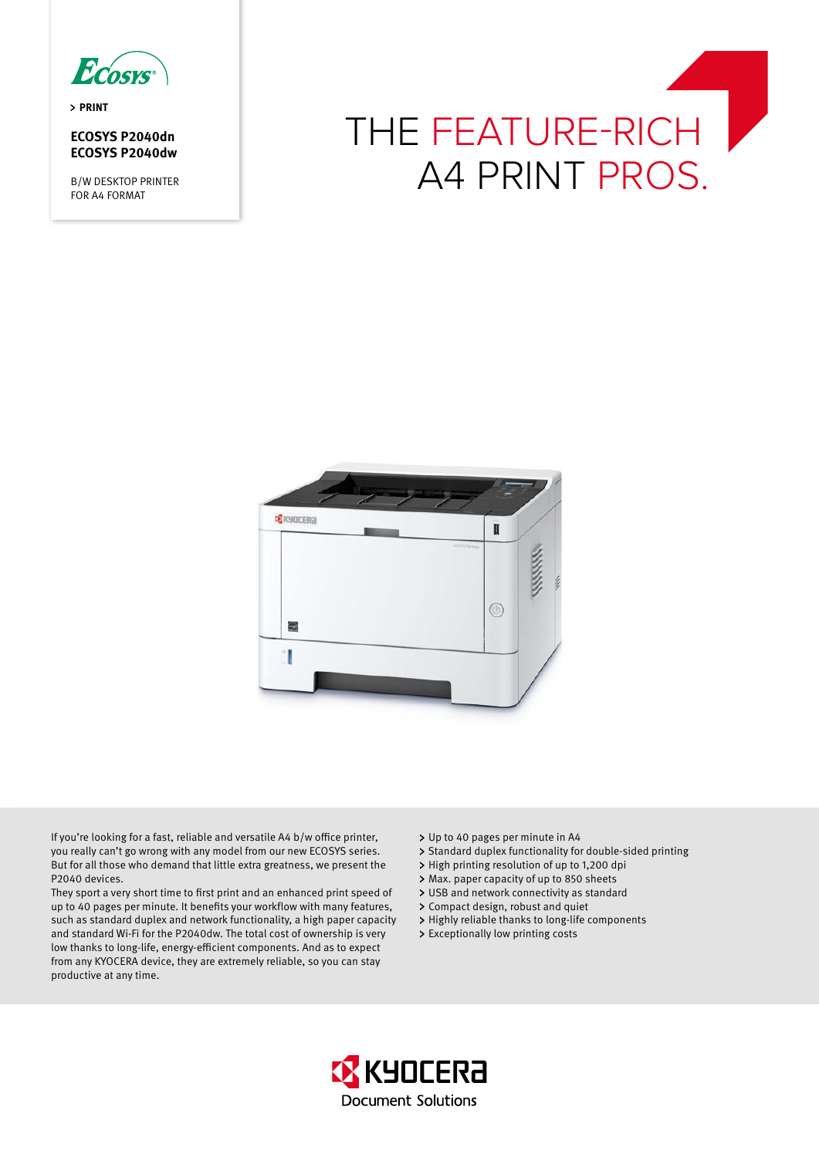

**PRINT** 

# **ECOSYS P2040dn ECOSYS P2040dw**

B/W DESKTOP PRINTER FOR A4 FORMAT





If you're looking for a fast, reliable and versatile A4 b/w office printer, you really can't go wrong with any model from our new ECOSYS series. But for all those who demand that little extra greatness, we present the P2040 devices.

They sport a very short time to first print and an enhanced print speed of up to 40 pages per minute. It benefits your workflow with many features, such as standard duplex and network functionality, a high paper capacity and standard Wi-Fi for the P2040dw. The total cost of ownership is very low thanks to long-life, energy-efficient components. And as to expect from any KYOCERA device, they are extremely reliable, so you can stay productive at any time.

- Up to 40 pages per minute in A4
- > Standard duplex functionality for double-sided printing
- > High printing resolution of up to 1,200 dpi
- Max. paper capacity of up to 850 sheets
- USB and network connectivity as standard
- Compact design, robust and quiet
- > Highly reliable thanks to long-life components
- Exceptionally low printing costs